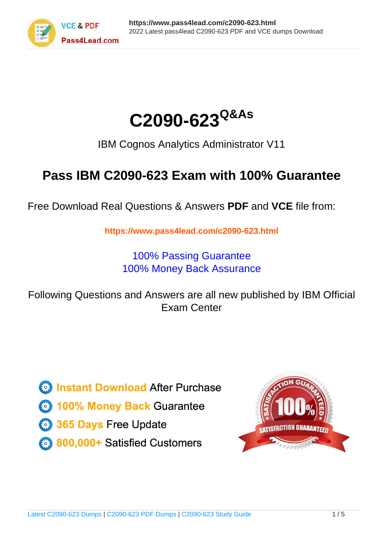



IBM Cognos Analytics Administrator V11

# **Pass IBM C2090-623 Exam with 100% Guarantee**

Free Download Real Questions & Answers **PDF** and **VCE** file from:

**https://www.pass4lead.com/c2090-623.html**

100% Passing Guarantee 100% Money Back Assurance

Following Questions and Answers are all new published by IBM Official Exam Center

**C** Instant Download After Purchase

**83 100% Money Back Guarantee** 

- 365 Days Free Update
- 800,000+ Satisfied Customers  $603$

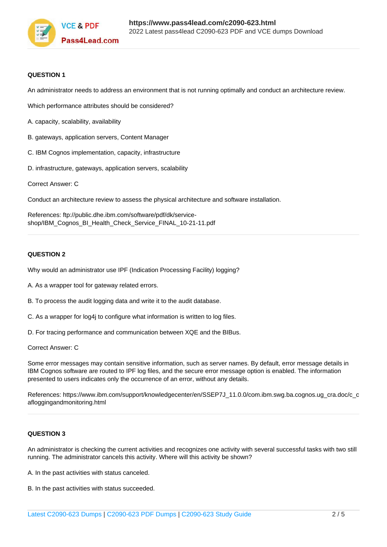

## **QUESTION 1**

An administrator needs to address an environment that is not running optimally and conduct an architecture review.

Which performance attributes should be considered?

- A. capacity, scalability, availability
- B. gateways, application servers, Content Manager
- C. IBM Cognos implementation, capacity, infrastructure
- D. infrastructure, gateways, application servers, scalability

Correct Answer: C

Conduct an architecture review to assess the physical architecture and software installation.

References: ftp://public.dhe.ibm.com/software/pdf/dk/serviceshop/IBM\_Cognos\_BI\_Health\_Check\_Service\_FINAL\_10-21-11.pdf

# **QUESTION 2**

Why would an administrator use IPF (Indication Processing Facility) logging?

- A. As a wrapper tool for gateway related errors.
- B. To process the audit logging data and write it to the audit database.
- C. As a wrapper for log4j to configure what information is written to log files.
- D. For tracing performance and communication between XQE and the BIBus.

Correct Answer: C

Some error messages may contain sensitive information, such as server names. By default, error message details in IBM Cognos software are routed to IPF log files, and the secure error message option is enabled. The information presented to users indicates only the occurrence of an error, without any details.

References: https://www.ibm.com/support/knowledgecenter/en/SSEP7J\_11.0.0/com.ibm.swg.ba.cognos.ug\_cra.doc/c\_c afloggingandmonitoring.html

### **QUESTION 3**

An administrator is checking the current activities and recognizes one activity with several successful tasks with two still running. The administrator cancels this activity. Where will this activity be shown?

- A. In the past activities with status canceled.
- B. In the past activities with status succeeded.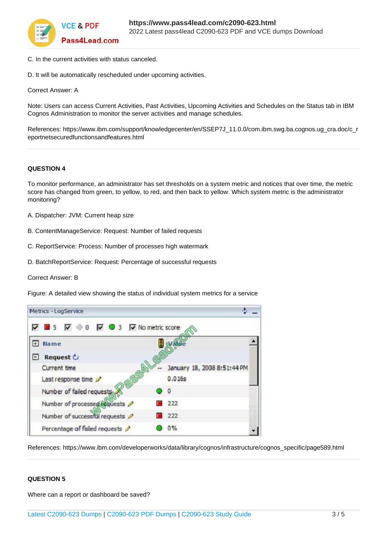

- C. In the current activities with status canceled.
- D. It will be automatically rescheduled under upcoming activities.

Correct Answer: A

Note: Users can access Current Activities, Past Activities, Upcoming Activities and Schedules on the Status tab in IBM Cognos Administration to monitor the server activities and manage schedules.

References: https://www.ibm.com/support/knowledgecenter/en/SSEP7J\_11.0.0/com.ibm.swg.ba.cognos.ug\_cra.doc/c\_r eportnetsecuredfunctionsandfeatures.html

### **QUESTION 4**

To monitor performance, an administrator has set thresholds on a system metric and notices that over time, the metric score has changed from green, to yellow, to red, and then back to yellow. Which system metric is the administrator monitoring?

- A. Dispatcher: JVM: Current heap size
- B. ContentManageService: Request: Number of failed requests
- C. ReportService: Process: Number of processes high watermark
- D. BatchReportService: Request: Percentage of successful requests

Correct Answer: B

Figure: A detailed view showing the status of individual system metrics for a service

| Metrics - LogService                                                                        |                             |
|---------------------------------------------------------------------------------------------|-----------------------------|
| $\overline{V}$ 3 $\overline{V}$ $\otimes$ 0 $\overline{V}$ 3 $\overline{V}$ No metric score |                             |
| Name                                                                                        |                             |
| Request $\circ$                                                                             |                             |
| Current time                                                                                | January 18, 2008 8:51:44 PM |
| Last response time                                                                          | 0.016s                      |
| Number of failed requests.                                                                  | $\Omega$                    |
| Number of processed requests                                                                | 222                         |
| Number of successful requests                                                               | 222                         |
| Percentage of failed requests                                                               | 0%                          |

References: https://www.ibm.com/developerworks/data/library/cognos/infrastructure/cognos\_specific/page589.html

### **QUESTION 5**

Where can a report or dashboard be saved?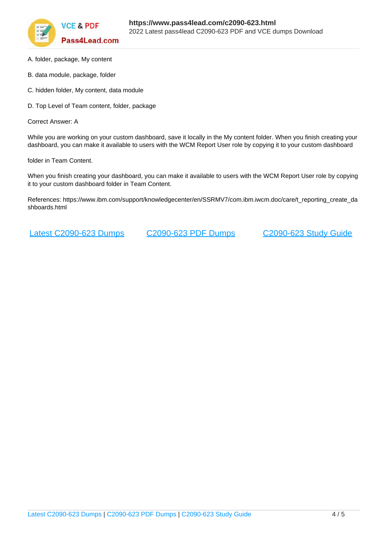

- A. folder, package, My content
- B. data module, package, folder
- C. hidden folder, My content, data module
- D. Top Level of Team content, folder, package

Correct Answer: A

While you are working on your custom dashboard, save it locally in the My content folder. When you finish creating your dashboard, you can make it available to users with the WCM Report User role by copying it to your custom dashboard

folder in Team Content.

When you finish creating your dashboard, you can make it available to users with the WCM Report User role by copying it to your custom dashboard folder in Team Content.

References: https://www.ibm.com/support/knowledgecenter/en/SSRMV7/com.ibm.iwcm.doc/care/t\_reporting\_create\_da shboards.html

[Latest C2090-623 Dumps](https://www.pass4lead.com/c2090-623.html) [C2090-623 PDF Dumps](https://www.pass4lead.com/c2090-623.html) [C2090-623 Study Guide](https://www.pass4lead.com/c2090-623.html)